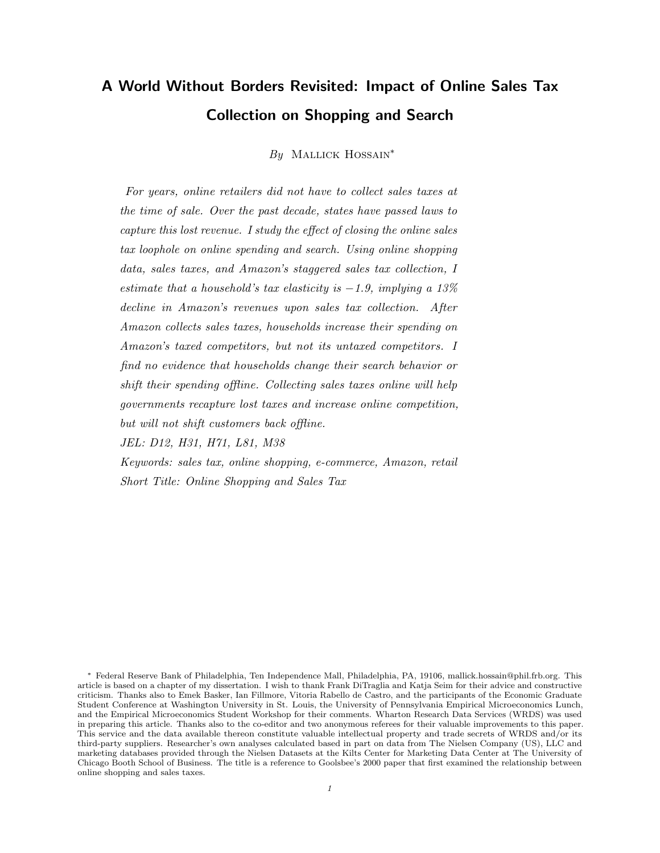# A World Without Borders Revisited: Impact of Online Sales Tax Collection on Shopping and Search

By MALLICK HOSSAIN<sup>\*</sup>

For years, online retailers did not have to collect sales taxes at the time of sale. Over the past decade, states have passed laws to capture this lost revenue. I study the effect of closing the online sales tax loophole on online spending and search. Using online shopping data, sales taxes, and Amazon's staggered sales tax collection, I estimate that a household's tax elasticity is  $-1.9$ , implying a 13% decline in Amazon's revenues upon sales tax collection. After Amazon collects sales taxes, households increase their spending on Amazon's taxed competitors, but not its untaxed competitors. I find no evidence that households change their search behavior or shift their spending offline. Collecting sales taxes online will help governments recapture lost taxes and increase online competition, but will not shift customers back offline.

JEL: D12, H31, H71, L81, M38

Keywords: sales tax, online shopping, e-commerce, Amazon, retail Short Title: Online Shopping and Sales Tax

<sup>∗</sup> Federal Reserve Bank of Philadelphia, Ten Independence Mall, Philadelphia, PA, 19106, mallick.hossain@phil.frb.org. This article is based on a chapter of my dissertation. I wish to thank Frank DiTraglia and Katja Seim for their advice and constructive criticism. Thanks also to Emek Basker, Ian Fillmore, Vitoria Rabello de Castro, and the participants of the Economic Graduate Student Conference at Washington University in St. Louis, the University of Pennsylvania Empirical Microeconomics Lunch, and the Empirical Microeconomics Student Workshop for their comments. Wharton Research Data Services (WRDS) was used in preparing this article. Thanks also to the co-editor and two anonymous referees for their valuable improvements to this paper. This service and the data available thereon constitute valuable intellectual property and trade secrets of WRDS and/or its third-party suppliers. Researcher's own analyses calculated based in part on data from The Nielsen Company (US), LLC and marketing databases provided through the Nielsen Datasets at the Kilts Center for Marketing Data Center at The University of Chicago Booth School of Business. The title is a reference to Goolsbee's 2000 paper that first examined the relationship between online shopping and sales taxes.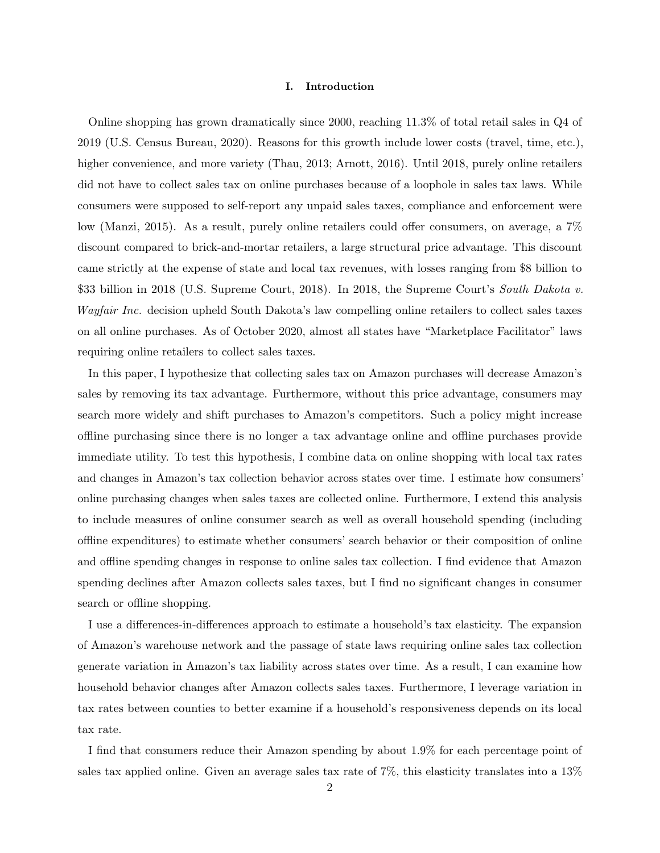## I. Introduction

Online shopping has grown dramatically since 2000, reaching 11.3% of total retail sales in Q4 of 2019 (U.S. Census Bureau, 2020). Reasons for this growth include lower costs (travel, time, etc.), higher convenience, and more variety (Thau, 2013; Arnott, 2016). Until 2018, purely online retailers did not have to collect sales tax on online purchases because of a loophole in sales tax laws. While consumers were supposed to self-report any unpaid sales taxes, compliance and enforcement were low (Manzi, 2015). As a result, purely online retailers could offer consumers, on average, a 7% discount compared to brick-and-mortar retailers, a large structural price advantage. This discount came strictly at the expense of state and local tax revenues, with losses ranging from \$8 billion to \$33 billion in 2018 (U.S. Supreme Court, 2018). In 2018, the Supreme Court's South Dakota v. Wayfair Inc. decision upheld South Dakota's law compelling online retailers to collect sales taxes on all online purchases. As of October 2020, almost all states have "Marketplace Facilitator" laws requiring online retailers to collect sales taxes.

In this paper, I hypothesize that collecting sales tax on Amazon purchases will decrease Amazon's sales by removing its tax advantage. Furthermore, without this price advantage, consumers may search more widely and shift purchases to Amazon's competitors. Such a policy might increase offline purchasing since there is no longer a tax advantage online and offline purchases provide immediate utility. To test this hypothesis, I combine data on online shopping with local tax rates and changes in Amazon's tax collection behavior across states over time. I estimate how consumers' online purchasing changes when sales taxes are collected online. Furthermore, I extend this analysis to include measures of online consumer search as well as overall household spending (including offline expenditures) to estimate whether consumers' search behavior or their composition of online and offline spending changes in response to online sales tax collection. I find evidence that Amazon spending declines after Amazon collects sales taxes, but I find no significant changes in consumer search or offline shopping.

I use a differences-in-differences approach to estimate a household's tax elasticity. The expansion of Amazon's warehouse network and the passage of state laws requiring online sales tax collection generate variation in Amazon's tax liability across states over time. As a result, I can examine how household behavior changes after Amazon collects sales taxes. Furthermore, I leverage variation in tax rates between counties to better examine if a household's responsiveness depends on its local tax rate.

I find that consumers reduce their Amazon spending by about 1.9% for each percentage point of sales tax applied online. Given an average sales tax rate of 7%, this elasticity translates into a 13%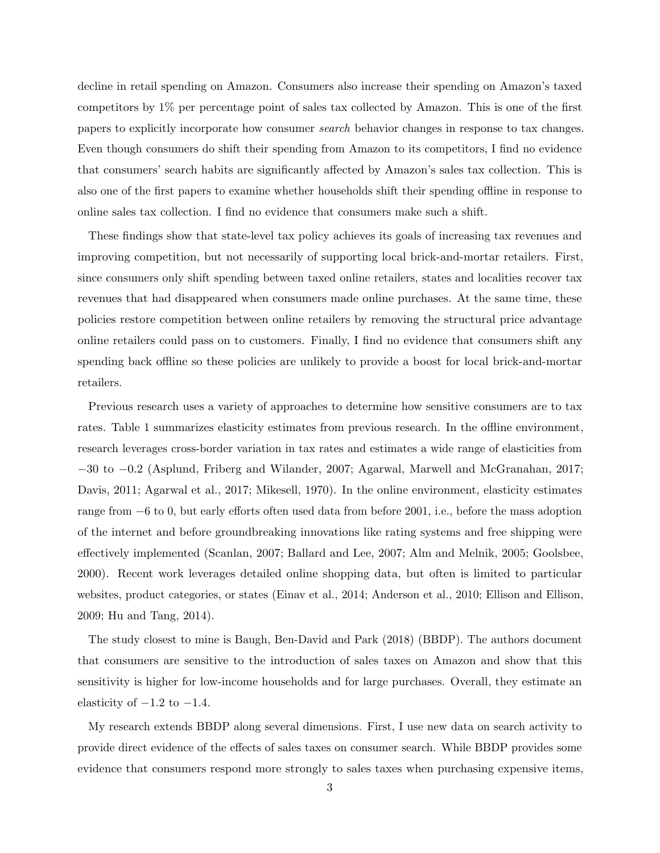decline in retail spending on Amazon. Consumers also increase their spending on Amazon's taxed competitors by 1% per percentage point of sales tax collected by Amazon. This is one of the first papers to explicitly incorporate how consumer search behavior changes in response to tax changes. Even though consumers do shift their spending from Amazon to its competitors, I find no evidence that consumers' search habits are significantly affected by Amazon's sales tax collection. This is also one of the first papers to examine whether households shift their spending offline in response to online sales tax collection. I find no evidence that consumers make such a shift.

These findings show that state-level tax policy achieves its goals of increasing tax revenues and improving competition, but not necessarily of supporting local brick-and-mortar retailers. First, since consumers only shift spending between taxed online retailers, states and localities recover tax revenues that had disappeared when consumers made online purchases. At the same time, these policies restore competition between online retailers by removing the structural price advantage online retailers could pass on to customers. Finally, I find no evidence that consumers shift any spending back offline so these policies are unlikely to provide a boost for local brick-and-mortar retailers.

Previous research uses a variety of approaches to determine how sensitive consumers are to tax rates. Table 1 summarizes elasticity estimates from previous research. In the offline environment, research leverages cross-border variation in tax rates and estimates a wide range of elasticities from −30 to −0.2 (Asplund, Friberg and Wilander, 2007; Agarwal, Marwell and McGranahan, 2017; Davis, 2011; Agarwal et al., 2017; Mikesell, 1970). In the online environment, elasticity estimates range from −6 to 0, but early efforts often used data from before 2001, i.e., before the mass adoption of the internet and before groundbreaking innovations like rating systems and free shipping were effectively implemented (Scanlan, 2007; Ballard and Lee, 2007; Alm and Melnik, 2005; Goolsbee, 2000). Recent work leverages detailed online shopping data, but often is limited to particular websites, product categories, or states (Einav et al., 2014; Anderson et al., 2010; Ellison and Ellison, 2009; Hu and Tang, 2014).

The study closest to mine is Baugh, Ben-David and Park (2018) (BBDP). The authors document that consumers are sensitive to the introduction of sales taxes on Amazon and show that this sensitivity is higher for low-income households and for large purchases. Overall, they estimate an elasticity of  $-1.2$  to  $-1.4$ .

My research extends BBDP along several dimensions. First, I use new data on search activity to provide direct evidence of the effects of sales taxes on consumer search. While BBDP provides some evidence that consumers respond more strongly to sales taxes when purchasing expensive items,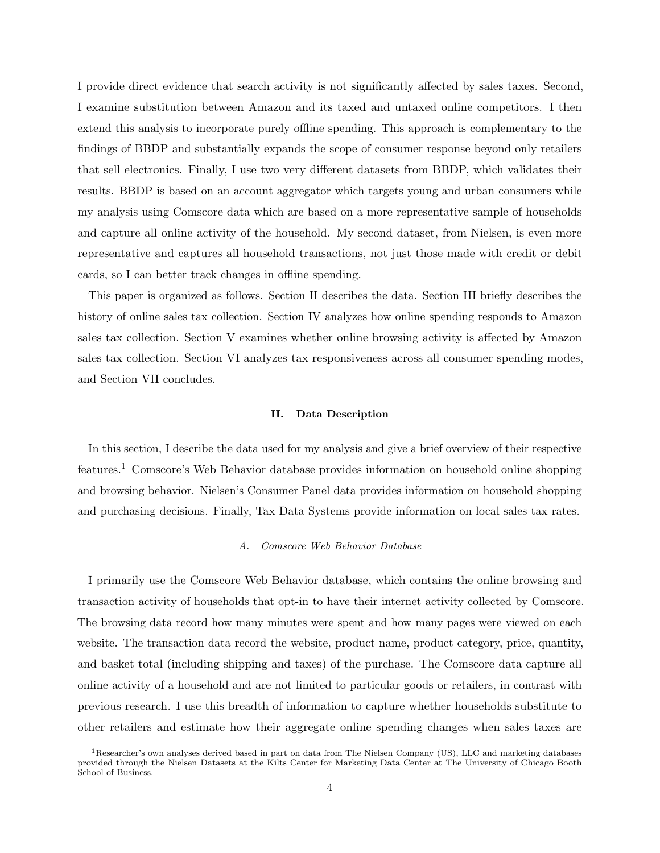I provide direct evidence that search activity is not significantly affected by sales taxes. Second, I examine substitution between Amazon and its taxed and untaxed online competitors. I then extend this analysis to incorporate purely offline spending. This approach is complementary to the findings of BBDP and substantially expands the scope of consumer response beyond only retailers that sell electronics. Finally, I use two very different datasets from BBDP, which validates their results. BBDP is based on an account aggregator which targets young and urban consumers while my analysis using Comscore data which are based on a more representative sample of households and capture all online activity of the household. My second dataset, from Nielsen, is even more representative and captures all household transactions, not just those made with credit or debit cards, so I can better track changes in offline spending.

This paper is organized as follows. Section II describes the data. Section III briefly describes the history of online sales tax collection. Section IV analyzes how online spending responds to Amazon sales tax collection. Section V examines whether online browsing activity is affected by Amazon sales tax collection. Section VI analyzes tax responsiveness across all consumer spending modes, and Section VII concludes.

## II. Data Description

In this section, I describe the data used for my analysis and give a brief overview of their respective features.<sup>1</sup> Comscore's Web Behavior database provides information on household online shopping and browsing behavior. Nielsen's Consumer Panel data provides information on household shopping and purchasing decisions. Finally, Tax Data Systems provide information on local sales tax rates.

## A. Comscore Web Behavior Database

I primarily use the Comscore Web Behavior database, which contains the online browsing and transaction activity of households that opt-in to have their internet activity collected by Comscore. The browsing data record how many minutes were spent and how many pages were viewed on each website. The transaction data record the website, product name, product category, price, quantity, and basket total (including shipping and taxes) of the purchase. The Comscore data capture all online activity of a household and are not limited to particular goods or retailers, in contrast with previous research. I use this breadth of information to capture whether households substitute to other retailers and estimate how their aggregate online spending changes when sales taxes are

<sup>1</sup>Researcher's own analyses derived based in part on data from The Nielsen Company (US), LLC and marketing databases provided through the Nielsen Datasets at the Kilts Center for Marketing Data Center at The University of Chicago Booth School of Business.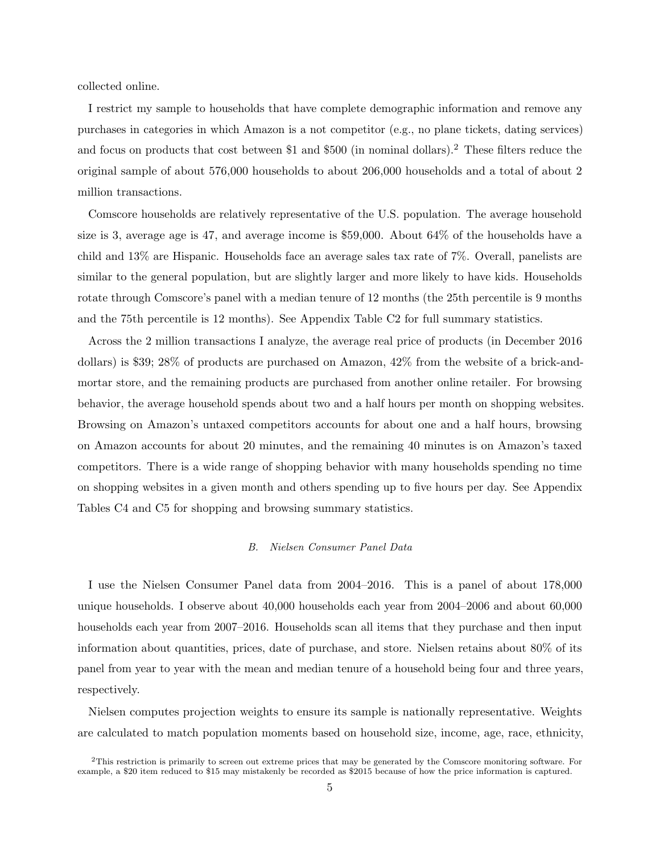collected online.

I restrict my sample to households that have complete demographic information and remove any purchases in categories in which Amazon is a not competitor (e.g., no plane tickets, dating services) and focus on products that cost between \$1 and \$500 (in nominal dollars).<sup>2</sup> These filters reduce the original sample of about 576,000 households to about 206,000 households and a total of about 2 million transactions.

Comscore households are relatively representative of the U.S. population. The average household size is 3, average age is 47, and average income is \$59,000. About 64% of the households have a child and 13% are Hispanic. Households face an average sales tax rate of 7%. Overall, panelists are similar to the general population, but are slightly larger and more likely to have kids. Households rotate through Comscore's panel with a median tenure of 12 months (the 25th percentile is 9 months and the 75th percentile is 12 months). See Appendix Table C2 for full summary statistics.

Across the 2 million transactions I analyze, the average real price of products (in December 2016 dollars) is \$39; 28% of products are purchased on Amazon, 42% from the website of a brick-andmortar store, and the remaining products are purchased from another online retailer. For browsing behavior, the average household spends about two and a half hours per month on shopping websites. Browsing on Amazon's untaxed competitors accounts for about one and a half hours, browsing on Amazon accounts for about 20 minutes, and the remaining 40 minutes is on Amazon's taxed competitors. There is a wide range of shopping behavior with many households spending no time on shopping websites in a given month and others spending up to five hours per day. See Appendix Tables C4 and C5 for shopping and browsing summary statistics.

#### B. Nielsen Consumer Panel Data

I use the Nielsen Consumer Panel data from 2004–2016. This is a panel of about 178,000 unique households. I observe about 40,000 households each year from 2004–2006 and about 60,000 households each year from 2007–2016. Households scan all items that they purchase and then input information about quantities, prices, date of purchase, and store. Nielsen retains about 80% of its panel from year to year with the mean and median tenure of a household being four and three years, respectively.

Nielsen computes projection weights to ensure its sample is nationally representative. Weights are calculated to match population moments based on household size, income, age, race, ethnicity,

<sup>2</sup>This restriction is primarily to screen out extreme prices that may be generated by the Comscore monitoring software. For example, a \$20 item reduced to \$15 may mistakenly be recorded as \$2015 because of how the price information is captured.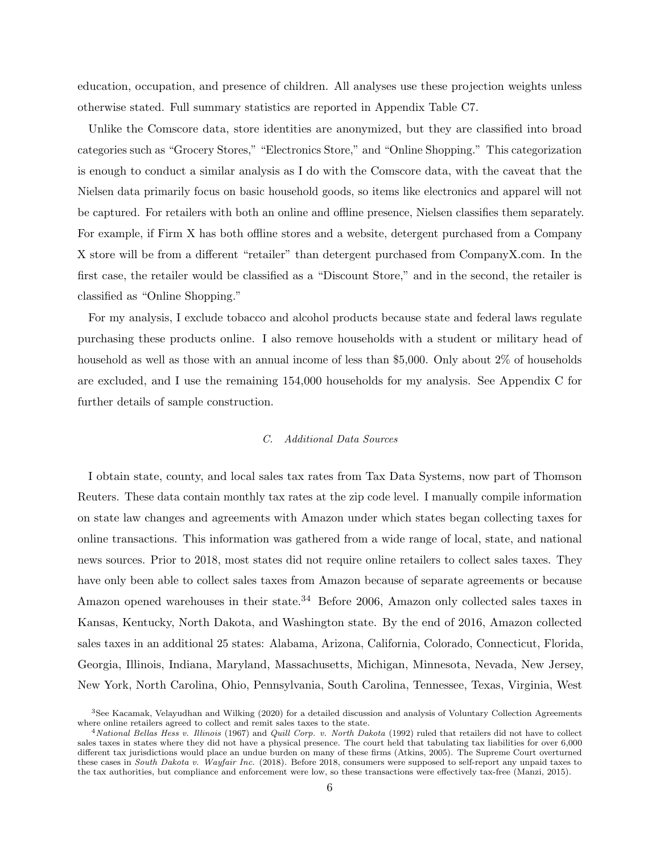education, occupation, and presence of children. All analyses use these projection weights unless otherwise stated. Full summary statistics are reported in Appendix Table C7.

Unlike the Comscore data, store identities are anonymized, but they are classified into broad categories such as "Grocery Stores," "Electronics Store," and "Online Shopping." This categorization is enough to conduct a similar analysis as I do with the Comscore data, with the caveat that the Nielsen data primarily focus on basic household goods, so items like electronics and apparel will not be captured. For retailers with both an online and offline presence, Nielsen classifies them separately. For example, if Firm X has both offline stores and a website, detergent purchased from a Company X store will be from a different "retailer" than detergent purchased from CompanyX.com. In the first case, the retailer would be classified as a "Discount Store," and in the second, the retailer is classified as "Online Shopping."

For my analysis, I exclude tobacco and alcohol products because state and federal laws regulate purchasing these products online. I also remove households with a student or military head of household as well as those with an annual income of less than \$5,000. Only about 2\% of households are excluded, and I use the remaining 154,000 households for my analysis. See Appendix C for further details of sample construction.

## C. Additional Data Sources

I obtain state, county, and local sales tax rates from Tax Data Systems, now part of Thomson Reuters. These data contain monthly tax rates at the zip code level. I manually compile information on state law changes and agreements with Amazon under which states began collecting taxes for online transactions. This information was gathered from a wide range of local, state, and national news sources. Prior to 2018, most states did not require online retailers to collect sales taxes. They have only been able to collect sales taxes from Amazon because of separate agreements or because Amazon opened warehouses in their state.<sup>34</sup> Before 2006, Amazon only collected sales taxes in Kansas, Kentucky, North Dakota, and Washington state. By the end of 2016, Amazon collected sales taxes in an additional 25 states: Alabama, Arizona, California, Colorado, Connecticut, Florida, Georgia, Illinois, Indiana, Maryland, Massachusetts, Michigan, Minnesota, Nevada, New Jersey, New York, North Carolina, Ohio, Pennsylvania, South Carolina, Tennessee, Texas, Virginia, West

<sup>3</sup>See Kacamak, Velayudhan and Wilking (2020) for a detailed discussion and analysis of Voluntary Collection Agreements where online retailers agreed to collect and remit sales taxes to the state.

 $4$ National Bellas Hess v. Illinois (1967) and Quill Corp. v. North Dakota (1992) ruled that retailers did not have to collect sales taxes in states where they did not have a physical presence. The court held that tabulating tax liabilities for over 6,000 different tax jurisdictions would place an undue burden on many of these firms (Atkins, 2005). The Supreme Court overturned these cases in South Dakota v. Wayfair Inc. (2018). Before 2018, consumers were supposed to self-report any unpaid taxes to the tax authorities, but compliance and enforcement were low, so these transactions were effectively tax-free (Manzi, 2015).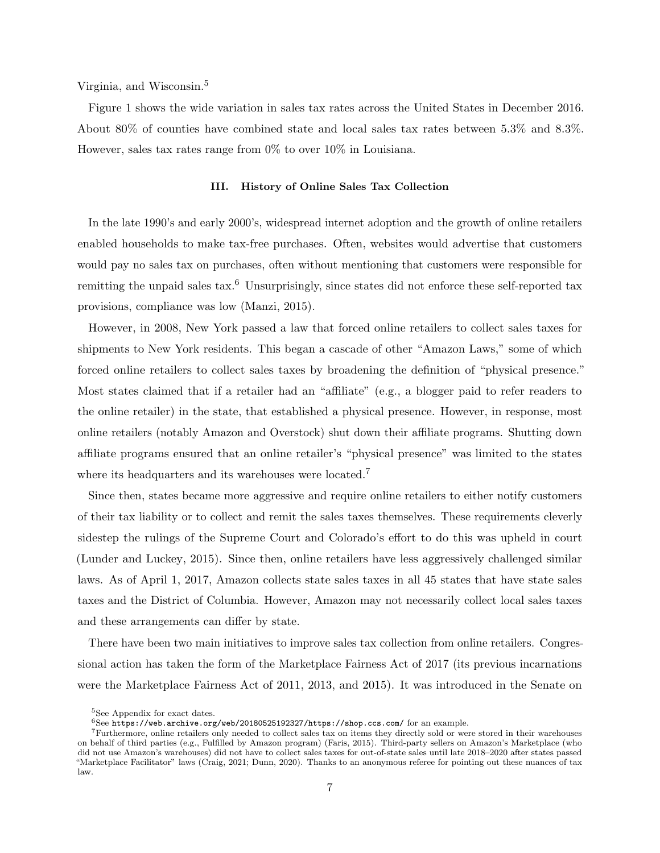Virginia, and Wisconsin.<sup>5</sup>

Figure 1 shows the wide variation in sales tax rates across the United States in December 2016. About 80% of counties have combined state and local sales tax rates between 5.3% and 8.3%. However, sales tax rates range from 0% to over 10% in Louisiana.

## III. History of Online Sales Tax Collection

In the late 1990's and early 2000's, widespread internet adoption and the growth of online retailers enabled households to make tax-free purchases. Often, websites would advertise that customers would pay no sales tax on purchases, often without mentioning that customers were responsible for remitting the unpaid sales tax.<sup>6</sup> Unsurprisingly, since states did not enforce these self-reported tax provisions, compliance was low (Manzi, 2015).

However, in 2008, New York passed a law that forced online retailers to collect sales taxes for shipments to New York residents. This began a cascade of other "Amazon Laws," some of which forced online retailers to collect sales taxes by broadening the definition of "physical presence." Most states claimed that if a retailer had an "affiliate" (e.g., a blogger paid to refer readers to the online retailer) in the state, that established a physical presence. However, in response, most online retailers (notably Amazon and Overstock) shut down their affiliate programs. Shutting down affiliate programs ensured that an online retailer's "physical presence" was limited to the states where its headquarters and its warehouses were located.<sup>7</sup>

Since then, states became more aggressive and require online retailers to either notify customers of their tax liability or to collect and remit the sales taxes themselves. These requirements cleverly sidestep the rulings of the Supreme Court and Colorado's effort to do this was upheld in court (Lunder and Luckey, 2015). Since then, online retailers have less aggressively challenged similar laws. As of April 1, 2017, Amazon collects state sales taxes in all 45 states that have state sales taxes and the District of Columbia. However, Amazon may not necessarily collect local sales taxes and these arrangements can differ by state.

There have been two main initiatives to improve sales tax collection from online retailers. Congressional action has taken the form of the Marketplace Fairness Act of 2017 (its previous incarnations were the Marketplace Fairness Act of 2011, 2013, and 2015). It was introduced in the Senate on

<sup>5</sup>See Appendix for exact dates.

 $6$ See https://web.archive.org/web/20180525192327/https://shop.ccs.com/ for an example.

<sup>7</sup>Furthermore, online retailers only needed to collect sales tax on items they directly sold or were stored in their warehouses on behalf of third parties (e.g., Fulfilled by Amazon program) (Faris, 2015). Third-party sellers on Amazon's Marketplace (who did not use Amazon's warehouses) did not have to collect sales taxes for out-of-state sales until late 2018–2020 after states passed "Marketplace Facilitator" laws (Craig, 2021; Dunn, 2020). Thanks to an anonymous referee for pointing out these nuances of tax law.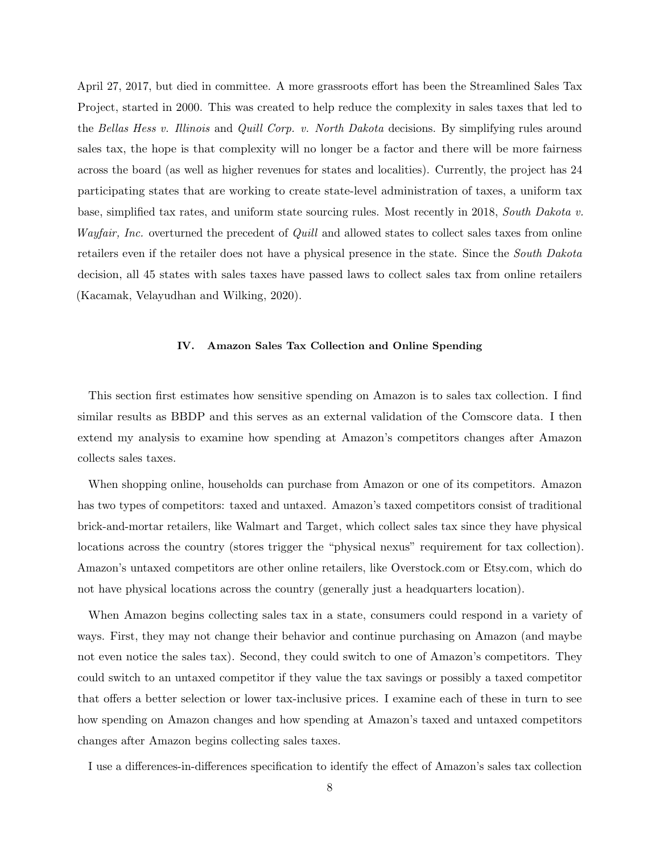April 27, 2017, but died in committee. A more grassroots effort has been the Streamlined Sales Tax Project, started in 2000. This was created to help reduce the complexity in sales taxes that led to the Bellas Hess v. Illinois and Quill Corp. v. North Dakota decisions. By simplifying rules around sales tax, the hope is that complexity will no longer be a factor and there will be more fairness across the board (as well as higher revenues for states and localities). Currently, the project has 24 participating states that are working to create state-level administration of taxes, a uniform tax base, simplified tax rates, and uniform state sourcing rules. Most recently in 2018, South Dakota v. Wayfair, Inc. overturned the precedent of Quill and allowed states to collect sales taxes from online retailers even if the retailer does not have a physical presence in the state. Since the *South Dakota* decision, all 45 states with sales taxes have passed laws to collect sales tax from online retailers (Kacamak, Velayudhan and Wilking, 2020).

## IV. Amazon Sales Tax Collection and Online Spending

This section first estimates how sensitive spending on Amazon is to sales tax collection. I find similar results as BBDP and this serves as an external validation of the Comscore data. I then extend my analysis to examine how spending at Amazon's competitors changes after Amazon collects sales taxes.

When shopping online, households can purchase from Amazon or one of its competitors. Amazon has two types of competitors: taxed and untaxed. Amazon's taxed competitors consist of traditional brick-and-mortar retailers, like Walmart and Target, which collect sales tax since they have physical locations across the country (stores trigger the "physical nexus" requirement for tax collection). Amazon's untaxed competitors are other online retailers, like Overstock.com or Etsy.com, which do not have physical locations across the country (generally just a headquarters location).

When Amazon begins collecting sales tax in a state, consumers could respond in a variety of ways. First, they may not change their behavior and continue purchasing on Amazon (and maybe not even notice the sales tax). Second, they could switch to one of Amazon's competitors. They could switch to an untaxed competitor if they value the tax savings or possibly a taxed competitor that offers a better selection or lower tax-inclusive prices. I examine each of these in turn to see how spending on Amazon changes and how spending at Amazon's taxed and untaxed competitors changes after Amazon begins collecting sales taxes.

I use a differences-in-differences specification to identify the effect of Amazon's sales tax collection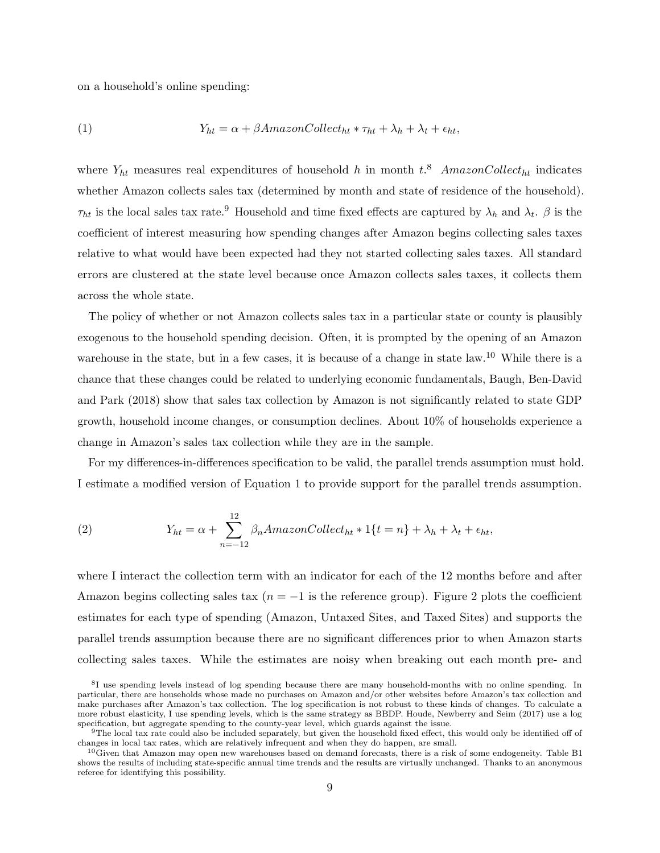on a household's online spending:

(1) 
$$
Y_{ht} = \alpha + \beta A max on Collect_{ht} * \tau_{ht} + \lambda_h + \lambda_t + \epsilon_{ht},
$$

where  $Y_{ht}$  measures real expenditures of household h in month  $t$ <sup>8</sup>. AmazonCollect<sub>ht</sub> indicates whether Amazon collects sales tax (determined by month and state of residence of the household).  $\tau_{ht}$  is the local sales tax rate.<sup>9</sup> Household and time fixed effects are captured by  $\lambda_h$  and  $\lambda_t$ .  $\beta$  is the coefficient of interest measuring how spending changes after Amazon begins collecting sales taxes relative to what would have been expected had they not started collecting sales taxes. All standard errors are clustered at the state level because once Amazon collects sales taxes, it collects them across the whole state.

The policy of whether or not Amazon collects sales tax in a particular state or county is plausibly exogenous to the household spending decision. Often, it is prompted by the opening of an Amazon warehouse in the state, but in a few cases, it is because of a change in state law.<sup>10</sup> While there is a chance that these changes could be related to underlying economic fundamentals, Baugh, Ben-David and Park (2018) show that sales tax collection by Amazon is not significantly related to state GDP growth, household income changes, or consumption declines. About 10% of households experience a change in Amazon's sales tax collection while they are in the sample.

For my differences-in-differences specification to be valid, the parallel trends assumption must hold. I estimate a modified version of Equation 1 to provide support for the parallel trends assumption.

(2) 
$$
Y_{ht} = \alpha + \sum_{n=-12}^{12} \beta_n \text{A} \text{max} \text{on} \text{Collect}_{ht} * 1\{t = n\} + \lambda_h + \lambda_t + \epsilon_{ht},
$$

where I interact the collection term with an indicator for each of the 12 months before and after Amazon begins collecting sales tax  $(n = -1)$  is the reference group). Figure 2 plots the coefficient estimates for each type of spending (Amazon, Untaxed Sites, and Taxed Sites) and supports the parallel trends assumption because there are no significant differences prior to when Amazon starts collecting sales taxes. While the estimates are noisy when breaking out each month pre- and

<sup>&</sup>lt;sup>8</sup>I use spending levels instead of log spending because there are many household-months with no online spending. In particular, there are households whose made no purchases on Amazon and/or other websites before Amazon's tax collection and make purchases after Amazon's tax collection. The log specification is not robust to these kinds of changes. To calculate a more robust elasticity, I use spending levels, which is the same strategy as BBDP. Houde, Newberry and Seim (2017) use a log specification, but aggregate spending to the county-year level, which guards against the issue.

<sup>9</sup>The local tax rate could also be included separately, but given the household fixed effect, this would only be identified off of changes in local tax rates, which are relatively infrequent and when they do happen, are small.

 $10$ Given that Amazon may open new warehouses based on demand forecasts, there is a risk of some endogeneity. Table B1 shows the results of including state-specific annual time trends and the results are virtually unchanged. Thanks to an anonymous referee for identifying this possibility.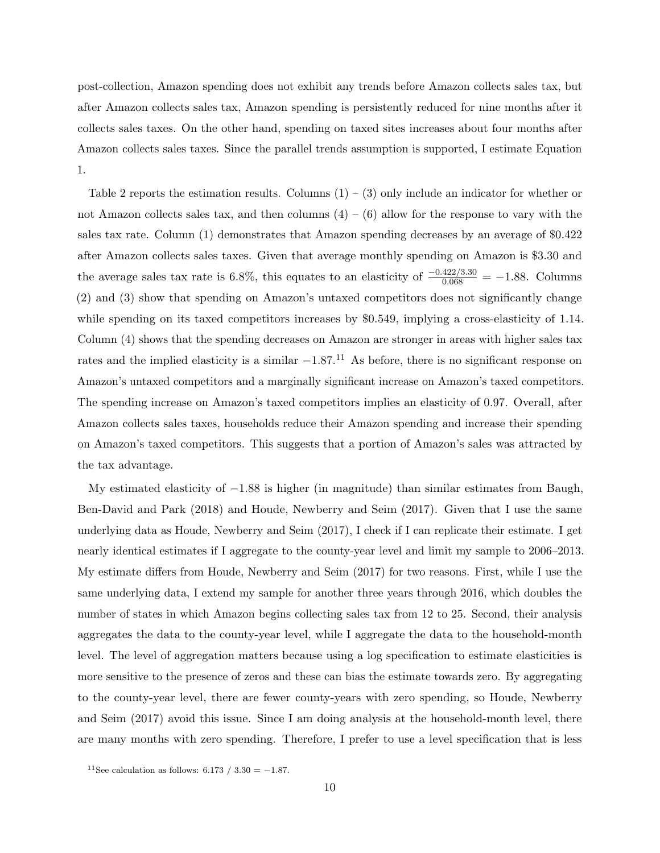post-collection, Amazon spending does not exhibit any trends before Amazon collects sales tax, but after Amazon collects sales tax, Amazon spending is persistently reduced for nine months after it collects sales taxes. On the other hand, spending on taxed sites increases about four months after Amazon collects sales taxes. Since the parallel trends assumption is supported, I estimate Equation 1.

Table 2 reports the estimation results. Columns  $(1) - (3)$  only include an indicator for whether or not Amazon collects sales tax, and then columns  $(4) - (6)$  allow for the response to vary with the sales tax rate. Column (1) demonstrates that Amazon spending decreases by an average of \$0.422 after Amazon collects sales taxes. Given that average monthly spending on Amazon is \$3.30 and the average sales tax rate is 6.8%, this equates to an elasticity of  $\frac{-0.422/3.30}{0.068} = -1.88$ . Columns (2) and (3) show that spending on Amazon's untaxed competitors does not significantly change while spending on its taxed competitors increases by \$0.549, implying a cross-elasticity of 1.14. Column (4) shows that the spending decreases on Amazon are stronger in areas with higher sales tax rates and the implied elasticity is a similar  $-1.87$ .<sup>11</sup> As before, there is no significant response on Amazon's untaxed competitors and a marginally significant increase on Amazon's taxed competitors. The spending increase on Amazon's taxed competitors implies an elasticity of 0.97. Overall, after Amazon collects sales taxes, households reduce their Amazon spending and increase their spending on Amazon's taxed competitors. This suggests that a portion of Amazon's sales was attracted by the tax advantage.

My estimated elasticity of  $-1.88$  is higher (in magnitude) than similar estimates from Baugh, Ben-David and Park (2018) and Houde, Newberry and Seim (2017). Given that I use the same underlying data as Houde, Newberry and Seim (2017), I check if I can replicate their estimate. I get nearly identical estimates if I aggregate to the county-year level and limit my sample to 2006–2013. My estimate differs from Houde, Newberry and Seim (2017) for two reasons. First, while I use the same underlying data, I extend my sample for another three years through 2016, which doubles the number of states in which Amazon begins collecting sales tax from 12 to 25. Second, their analysis aggregates the data to the county-year level, while I aggregate the data to the household-month level. The level of aggregation matters because using a log specification to estimate elasticities is more sensitive to the presence of zeros and these can bias the estimate towards zero. By aggregating to the county-year level, there are fewer county-years with zero spending, so Houde, Newberry and Seim (2017) avoid this issue. Since I am doing analysis at the household-month level, there are many months with zero spending. Therefore, I prefer to use a level specification that is less

<sup>&</sup>lt;sup>11</sup>See calculation as follows:  $6.173 / 3.30 = -1.87$ .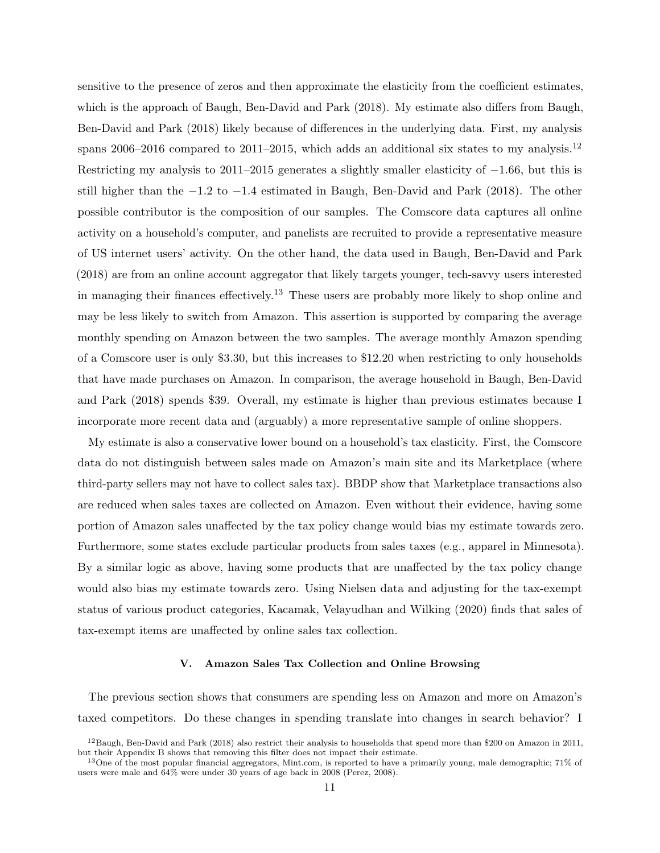sensitive to the presence of zeros and then approximate the elasticity from the coefficient estimates, which is the approach of Baugh, Ben-David and Park (2018). My estimate also differs from Baugh, Ben-David and Park (2018) likely because of differences in the underlying data. First, my analysis spans 2006–2016 compared to 2011–2015, which adds an additional six states to my analysis.<sup>12</sup> Restricting my analysis to 2011–2015 generates a slightly smaller elasticity of −1.66, but this is still higher than the −1.2 to −1.4 estimated in Baugh, Ben-David and Park (2018). The other possible contributor is the composition of our samples. The Comscore data captures all online activity on a household's computer, and panelists are recruited to provide a representative measure of US internet users' activity. On the other hand, the data used in Baugh, Ben-David and Park (2018) are from an online account aggregator that likely targets younger, tech-savvy users interested in managing their finances effectively.<sup>13</sup> These users are probably more likely to shop online and may be less likely to switch from Amazon. This assertion is supported by comparing the average monthly spending on Amazon between the two samples. The average monthly Amazon spending of a Comscore user is only \$3.30, but this increases to \$12.20 when restricting to only households that have made purchases on Amazon. In comparison, the average household in Baugh, Ben-David and Park (2018) spends \$39. Overall, my estimate is higher than previous estimates because I incorporate more recent data and (arguably) a more representative sample of online shoppers.

My estimate is also a conservative lower bound on a household's tax elasticity. First, the Comscore data do not distinguish between sales made on Amazon's main site and its Marketplace (where third-party sellers may not have to collect sales tax). BBDP show that Marketplace transactions also are reduced when sales taxes are collected on Amazon. Even without their evidence, having some portion of Amazon sales unaffected by the tax policy change would bias my estimate towards zero. Furthermore, some states exclude particular products from sales taxes (e.g., apparel in Minnesota). By a similar logic as above, having some products that are unaffected by the tax policy change would also bias my estimate towards zero. Using Nielsen data and adjusting for the tax-exempt status of various product categories, Kacamak, Velayudhan and Wilking (2020) finds that sales of tax-exempt items are unaffected by online sales tax collection.

## V. Amazon Sales Tax Collection and Online Browsing

The previous section shows that consumers are spending less on Amazon and more on Amazon's taxed competitors. Do these changes in spending translate into changes in search behavior? I

 $12$ Baugh, Ben-David and Park (2018) also restrict their analysis to households that spend more than \$200 on Amazon in 2011, but their Appendix B shows that removing this filter does not impact their estimate.

 $13$ One of the most popular financial aggregators, Mint.com, is reported to have a primarily young, male demographic; 71% of users were male and 64% were under 30 years of age back in 2008 (Perez, 2008).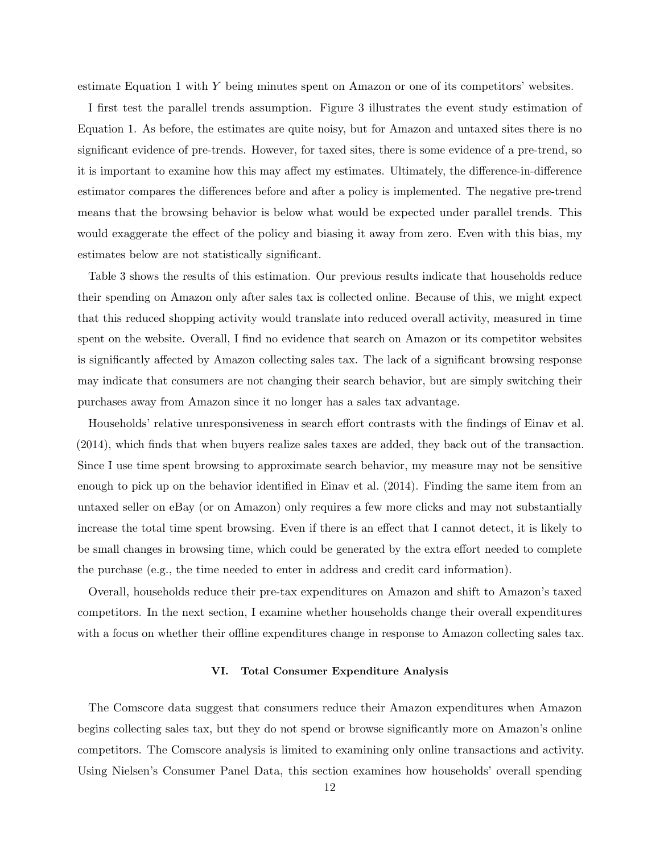estimate Equation 1 with Y being minutes spent on Amazon or one of its competitors' websites.

I first test the parallel trends assumption. Figure 3 illustrates the event study estimation of Equation 1. As before, the estimates are quite noisy, but for Amazon and untaxed sites there is no significant evidence of pre-trends. However, for taxed sites, there is some evidence of a pre-trend, so it is important to examine how this may affect my estimates. Ultimately, the difference-in-difference estimator compares the differences before and after a policy is implemented. The negative pre-trend means that the browsing behavior is below what would be expected under parallel trends. This would exaggerate the effect of the policy and biasing it away from zero. Even with this bias, my estimates below are not statistically significant.

Table 3 shows the results of this estimation. Our previous results indicate that households reduce their spending on Amazon only after sales tax is collected online. Because of this, we might expect that this reduced shopping activity would translate into reduced overall activity, measured in time spent on the website. Overall, I find no evidence that search on Amazon or its competitor websites is significantly affected by Amazon collecting sales tax. The lack of a significant browsing response may indicate that consumers are not changing their search behavior, but are simply switching their purchases away from Amazon since it no longer has a sales tax advantage.

Households' relative unresponsiveness in search effort contrasts with the findings of Einav et al. (2014), which finds that when buyers realize sales taxes are added, they back out of the transaction. Since I use time spent browsing to approximate search behavior, my measure may not be sensitive enough to pick up on the behavior identified in Einav et al. (2014). Finding the same item from an untaxed seller on eBay (or on Amazon) only requires a few more clicks and may not substantially increase the total time spent browsing. Even if there is an effect that I cannot detect, it is likely to be small changes in browsing time, which could be generated by the extra effort needed to complete the purchase (e.g., the time needed to enter in address and credit card information).

Overall, households reduce their pre-tax expenditures on Amazon and shift to Amazon's taxed competitors. In the next section, I examine whether households change their overall expenditures with a focus on whether their offline expenditures change in response to Amazon collecting sales tax.

## VI. Total Consumer Expenditure Analysis

The Comscore data suggest that consumers reduce their Amazon expenditures when Amazon begins collecting sales tax, but they do not spend or browse significantly more on Amazon's online competitors. The Comscore analysis is limited to examining only online transactions and activity. Using Nielsen's Consumer Panel Data, this section examines how households' overall spending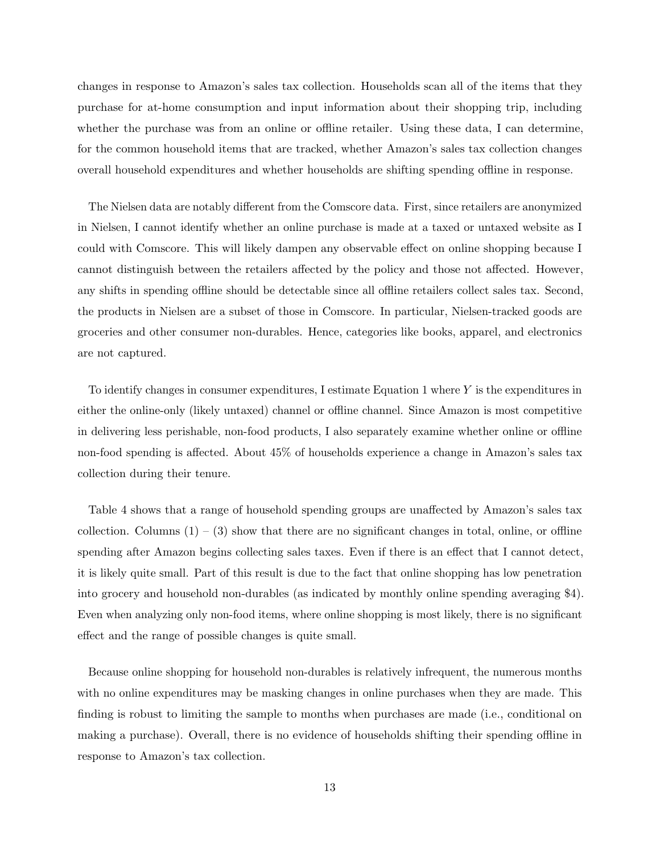changes in response to Amazon's sales tax collection. Households scan all of the items that they purchase for at-home consumption and input information about their shopping trip, including whether the purchase was from an online or offline retailer. Using these data, I can determine, for the common household items that are tracked, whether Amazon's sales tax collection changes overall household expenditures and whether households are shifting spending offline in response.

The Nielsen data are notably different from the Comscore data. First, since retailers are anonymized in Nielsen, I cannot identify whether an online purchase is made at a taxed or untaxed website as I could with Comscore. This will likely dampen any observable effect on online shopping because I cannot distinguish between the retailers affected by the policy and those not affected. However, any shifts in spending offline should be detectable since all offline retailers collect sales tax. Second, the products in Nielsen are a subset of those in Comscore. In particular, Nielsen-tracked goods are groceries and other consumer non-durables. Hence, categories like books, apparel, and electronics are not captured.

To identify changes in consumer expenditures, I estimate Equation 1 where Y is the expenditures in either the online-only (likely untaxed) channel or offline channel. Since Amazon is most competitive in delivering less perishable, non-food products, I also separately examine whether online or offline non-food spending is affected. About 45% of households experience a change in Amazon's sales tax collection during their tenure.

Table 4 shows that a range of household spending groups are unaffected by Amazon's sales tax collection. Columns  $(1) - (3)$  show that there are no significant changes in total, online, or offline spending after Amazon begins collecting sales taxes. Even if there is an effect that I cannot detect, it is likely quite small. Part of this result is due to the fact that online shopping has low penetration into grocery and household non-durables (as indicated by monthly online spending averaging \$4). Even when analyzing only non-food items, where online shopping is most likely, there is no significant effect and the range of possible changes is quite small.

Because online shopping for household non-durables is relatively infrequent, the numerous months with no online expenditures may be masking changes in online purchases when they are made. This finding is robust to limiting the sample to months when purchases are made (i.e., conditional on making a purchase). Overall, there is no evidence of households shifting their spending offline in response to Amazon's tax collection.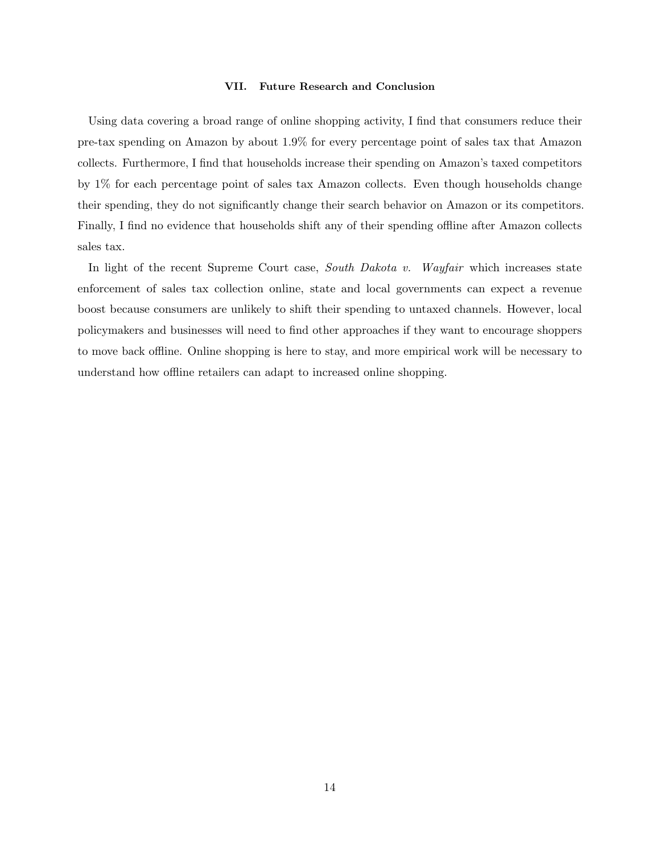## VII. Future Research and Conclusion

Using data covering a broad range of online shopping activity, I find that consumers reduce their pre-tax spending on Amazon by about 1.9% for every percentage point of sales tax that Amazon collects. Furthermore, I find that households increase their spending on Amazon's taxed competitors by 1% for each percentage point of sales tax Amazon collects. Even though households change their spending, they do not significantly change their search behavior on Amazon or its competitors. Finally, I find no evidence that households shift any of their spending offline after Amazon collects sales tax.

In light of the recent Supreme Court case, South Dakota v. Wayfair which increases state enforcement of sales tax collection online, state and local governments can expect a revenue boost because consumers are unlikely to shift their spending to untaxed channels. However, local policymakers and businesses will need to find other approaches if they want to encourage shoppers to move back offline. Online shopping is here to stay, and more empirical work will be necessary to understand how offline retailers can adapt to increased online shopping.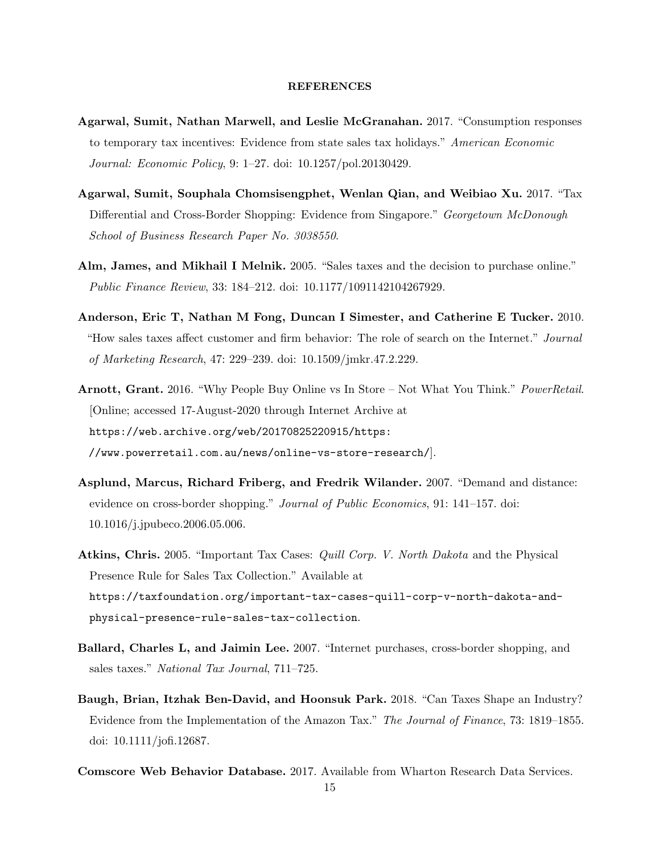## REFERENCES

- Agarwal, Sumit, Nathan Marwell, and Leslie McGranahan. 2017. "Consumption responses to temporary tax incentives: Evidence from state sales tax holidays." American Economic Journal: Economic Policy, 9: 1–27. doi: 10.1257/pol.20130429.
- Agarwal, Sumit, Souphala Chomsisengphet, Wenlan Qian, and Weibiao Xu. 2017. "Tax Differential and Cross-Border Shopping: Evidence from Singapore." Georgetown McDonough School of Business Research Paper No. 3038550.
- Alm, James, and Mikhail I Melnik. 2005. "Sales taxes and the decision to purchase online." Public Finance Review, 33: 184–212. doi: 10.1177/1091142104267929.
- Anderson, Eric T, Nathan M Fong, Duncan I Simester, and Catherine E Tucker. 2010. "How sales taxes affect customer and firm behavior: The role of search on the Internet." Journal of Marketing Research, 47: 229–239. doi: 10.1509/jmkr.47.2.229.
- Arnott, Grant. 2016. "Why People Buy Online vs In Store Not What You Think." PowerRetail. [Online; accessed 17-August-2020 through Internet Archive at https://web.archive.org/web/20170825220915/https: //www.powerretail.com.au/news/online-vs-store-research/].
- Asplund, Marcus, Richard Friberg, and Fredrik Wilander. 2007. "Demand and distance: evidence on cross-border shopping." Journal of Public Economics, 91: 141–157. doi: 10.1016/j.jpubeco.2006.05.006.
- Atkins, Chris. 2005. "Important Tax Cases: *Quill Corp. V. North Dakota* and the Physical Presence Rule for Sales Tax Collection." Available at https://taxfoundation.org/important-tax-cases-quill-corp-v-north-dakota-andphysical-presence-rule-sales-tax-collection.
- Ballard, Charles L, and Jaimin Lee. 2007. "Internet purchases, cross-border shopping, and sales taxes." National Tax Journal, 711–725.
- Baugh, Brian, Itzhak Ben-David, and Hoonsuk Park. 2018. "Can Taxes Shape an Industry? Evidence from the Implementation of the Amazon Tax." The Journal of Finance, 73: 1819–1855. doi: 10.1111/jofi.12687.
- Comscore Web Behavior Database. 2017. Available from Wharton Research Data Services.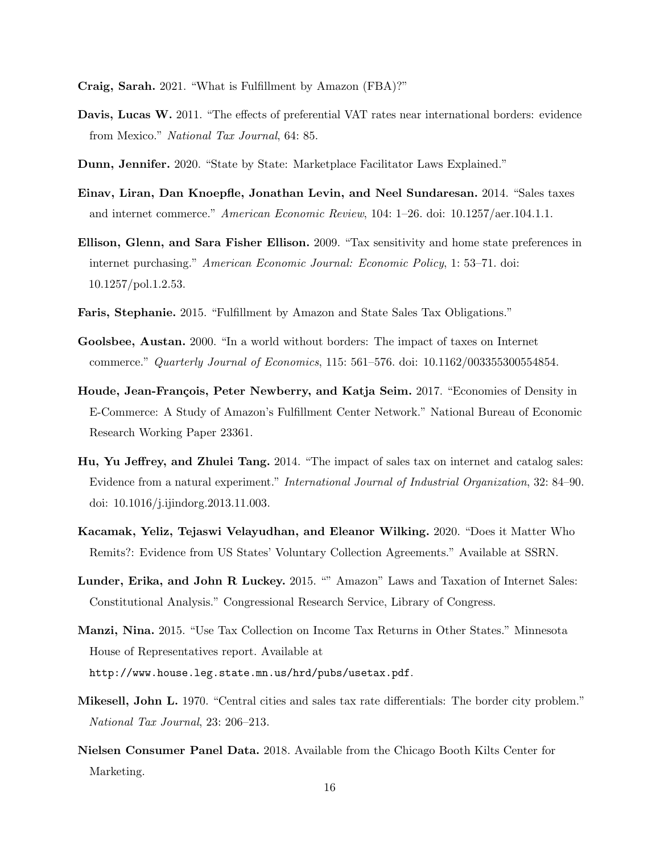Craig, Sarah. 2021. "What is Fulfillment by Amazon (FBA)?"

- Davis, Lucas W. 2011. "The effects of preferential VAT rates near international borders: evidence from Mexico." National Tax Journal, 64: 85.
- Dunn, Jennifer. 2020. "State by State: Marketplace Facilitator Laws Explained."
- Einav, Liran, Dan Knoepfle, Jonathan Levin, and Neel Sundaresan. 2014. "Sales taxes and internet commerce." American Economic Review, 104: 1–26. doi: 10.1257/aer.104.1.1.
- Ellison, Glenn, and Sara Fisher Ellison. 2009. "Tax sensitivity and home state preferences in internet purchasing." American Economic Journal: Economic Policy, 1: 53–71. doi: 10.1257/pol.1.2.53.
- Faris, Stephanie. 2015. "Fulfillment by Amazon and State Sales Tax Obligations."
- Goolsbee, Austan. 2000. "In a world without borders: The impact of taxes on Internet commerce." Quarterly Journal of Economics, 115: 561–576. doi: 10.1162/003355300554854.
- Houde, Jean-François, Peter Newberry, and Katja Seim. 2017. "Economies of Density in E-Commerce: A Study of Amazon's Fulfillment Center Network." National Bureau of Economic Research Working Paper 23361.
- Hu, Yu Jeffrey, and Zhulei Tang. 2014. "The impact of sales tax on internet and catalog sales: Evidence from a natural experiment." International Journal of Industrial Organization, 32: 84–90. doi: 10.1016/j.ijindorg.2013.11.003.
- Kacamak, Yeliz, Tejaswi Velayudhan, and Eleanor Wilking. 2020. "Does it Matter Who Remits?: Evidence from US States' Voluntary Collection Agreements." Available at SSRN.
- Lunder, Erika, and John R Luckey. 2015. "" Amazon" Laws and Taxation of Internet Sales: Constitutional Analysis." Congressional Research Service, Library of Congress.
- Manzi, Nina. 2015. "Use Tax Collection on Income Tax Returns in Other States." Minnesota House of Representatives report. Available at http://www.house.leg.state.mn.us/hrd/pubs/usetax.pdf.
- Mikesell, John L. 1970. "Central cities and sales tax rate differentials: The border city problem." National Tax Journal, 23: 206–213.
- Nielsen Consumer Panel Data. 2018. Available from the Chicago Booth Kilts Center for Marketing.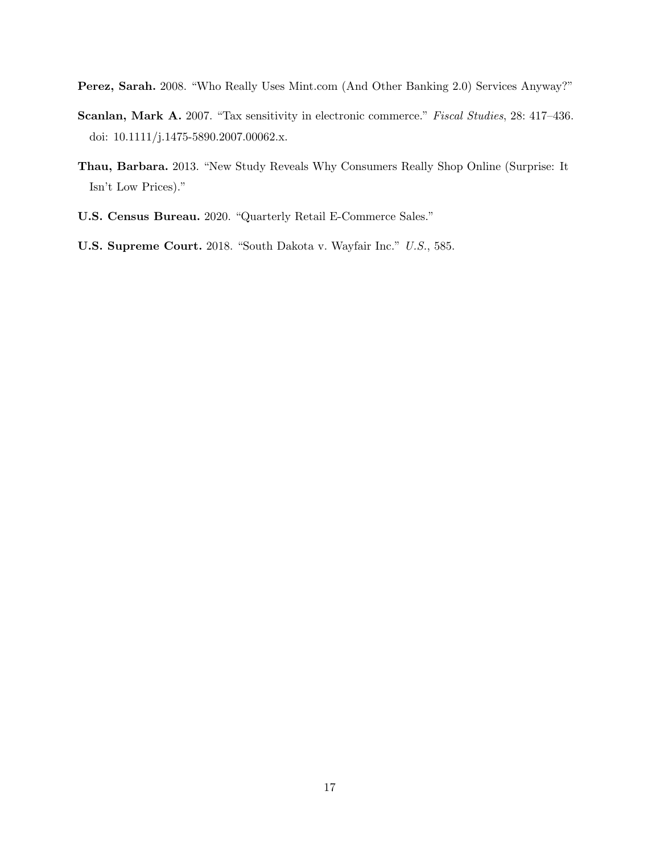Perez, Sarah. 2008. "Who Really Uses Mint.com (And Other Banking 2.0) Services Anyway?"

- Scanlan, Mark A. 2007. "Tax sensitivity in electronic commerce." Fiscal Studies, 28: 417-436. doi: 10.1111/j.1475-5890.2007.00062.x.
- Thau, Barbara. 2013. "New Study Reveals Why Consumers Really Shop Online (Surprise: It Isn't Low Prices)."
- U.S. Census Bureau. 2020. "Quarterly Retail E-Commerce Sales."
- U.S. Supreme Court. 2018. "South Dakota v. Wayfair Inc." U.S., 585.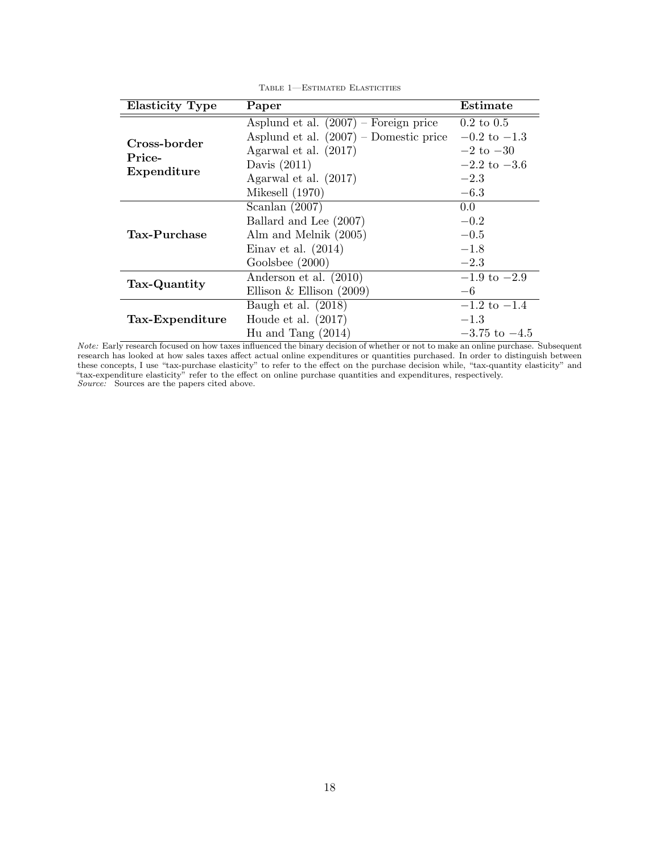| <b>Elasticity Type</b> | Paper                                    | Estimate              |
|------------------------|------------------------------------------|-----------------------|
|                        | Asplund et al. $(2007)$ – Foreign price  | $0.2 \text{ to } 0.5$ |
| Cross-border           | Asplund et al. $(2007)$ – Domestic price | $-0.2$ to $-1.3$      |
| Price-                 | Agarwal et al. $(2017)$                  | $-2$ to $-30$         |
| Expenditure            | Davis $(2011)$                           | $-2.2$ to $-3.6$      |
|                        | Agarwal et al. $(2017)$                  | $-2.3$                |
|                        | Mikesell (1970)                          | $-6.3$                |
| <b>Tax-Purchase</b>    | Scanlan $(2007)$                         | 0.0                   |
|                        | Ballard and Lee (2007)                   | $-0.2$                |
|                        | Alm and Melnik (2005)                    | $-0.5$                |
|                        | Einav et al. $(2014)$                    | $-1.8$                |
|                        | Goolsbee(2000)                           | $-2.3$                |
|                        | Anderson et al. (2010)                   | $-1.9$ to $-2.9$      |
| Tax-Quantity           | Ellison & Ellison $(2009)$               | $-6$                  |
|                        | Baugh et al. $(2018)$                    | $-1.2$ to $-1.4$      |
| Tax-Expenditure        | Houde et al. $(2017)$                    | $-1.3$                |
|                        | Hu and Tang $(2014)$                     | $-3.75$ to $-4.5$     |

Table 1—Estimated Elasticities

Note: Early research focused on how taxes influenced the binary decision of whether or not to make an online purchase. Subsequent research has looked at how sales taxes affect actual online expenditures or quantities purchased. In order to distinguish between these concepts, I use "tax-purchase elasticity" to refer to the effect on the purchase decision while, "tax-quantity elasticity" and "tax-expenditure elasticity" refer to the effect on online purchase quantities and expenditures, respectively. Source: Sources are the papers cited above.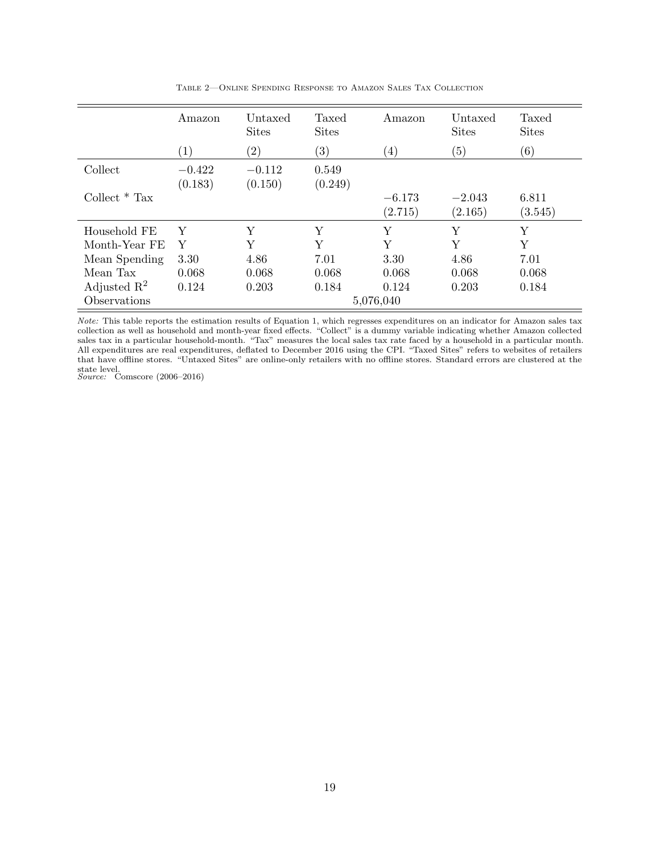|                         | Amazon              | Untaxed<br><b>Sites</b> | Taxed<br><b>Sites</b> | Amazon              | Untaxed<br><b>Sites</b> | Taxed<br><b>Sites</b> |
|-------------------------|---------------------|-------------------------|-----------------------|---------------------|-------------------------|-----------------------|
|                         | $\left( 1\right)$   | $\left( 2\right)$       | $\left( 3\right)$     | $\left( 4\right)$   | (5)                     | (6)                   |
| Collect                 | $-0.422$<br>(0.183) | $-0.112$<br>(0.150)     | 0.549<br>(0.249)      |                     |                         |                       |
| Collect $*$ Tax         |                     |                         |                       | $-6.173$<br>(2.715) | $-2.043$<br>(2.165)     | 6.811<br>(3.545)      |
| Household FE            | Y                   | Υ                       | Υ                     | Y                   | Y                       | Y                     |
| Month-Year FE           | Y                   | Y                       | Y                     | Y                   | Y                       | Y                     |
| Mean Spending           | 3.30                | 4.86                    | 7.01                  | 3.30                | 4.86                    | 7.01                  |
| Mean Tax                | 0.068               | 0.068                   | 0.068                 | 0.068               | 0.068                   | 0.068                 |
| Adjusted $\mathbb{R}^2$ | 0.124               | 0.203                   | 0.184                 | 0.124               | 0.203                   | 0.184                 |
| Observations            |                     |                         |                       | 5,076,040           |                         |                       |

Table 2—Online Spending Response to Amazon Sales Tax Collection

Note: This table reports the estimation results of Equation 1, which regresses expenditures on an indicator for Amazon sales tax collection as well as household and month-year fixed effects. "Collect" is a dummy variable indicating whether Amazon collected sales tax in a particular household-month. "Tax" measures the local sales tax rate faced by a household in a particular month. All expenditures are real expenditures, deflated to December 2016 using the CPI. "Taxed Sites" refers to websites of retailers that have offline stores. "Untaxed Sites" are online-only retailers with no offline stores. Standard errors are clustered at the state level.<br>Source: Comscore (2006–2016)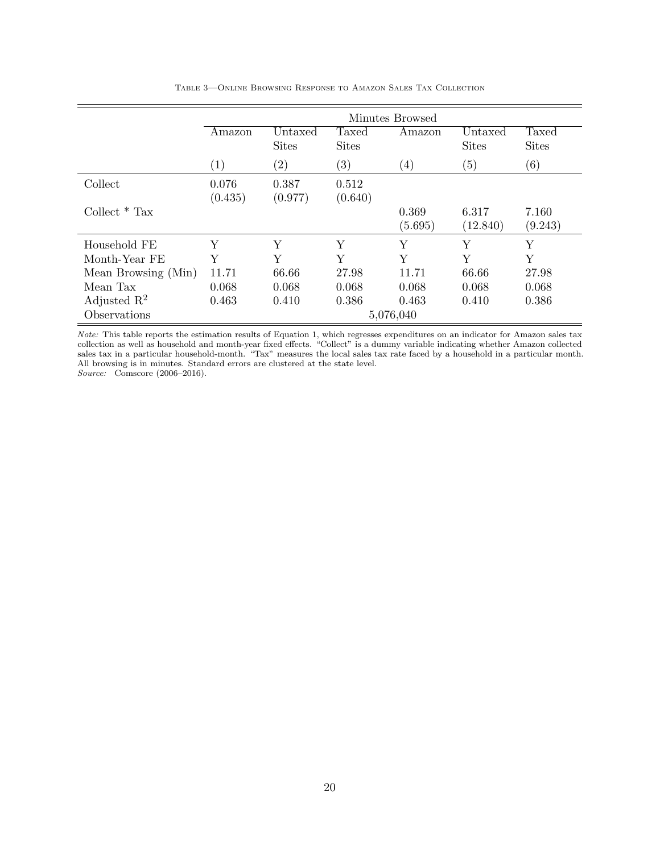|                         | Minutes Browsed  |                         |                       |                   |                         |                       |  |
|-------------------------|------------------|-------------------------|-----------------------|-------------------|-------------------------|-----------------------|--|
|                         | Amazon           | Untaxed<br><b>Sites</b> | Taxed<br><b>Sites</b> | Amazon            | Untaxed<br><b>Sites</b> | Taxed<br><b>Sites</b> |  |
|                         | (1)              | $\left( 2\right)$       | $\left( 3\right)$     | $\left( 4\right)$ | (5)                     | (6)                   |  |
| Collect                 | 0.076<br>(0.435) | 0.387<br>(0.977)        | 0.512<br>(0.640)      |                   |                         |                       |  |
| Collect $*$ Tax         |                  |                         |                       | 0.369<br>(5.695)  | 6.317<br>(12.840)       | 7.160<br>(9.243)      |  |
| Household FE            | Y                | Y                       | Y                     | Y                 | Y                       | Y                     |  |
| Month-Year FE           | Y                | Y                       | Y                     | Y                 | Y                       | Υ                     |  |
| Mean Browsing (Min)     | 11.71            | 66.66                   | 27.98                 | 11.71             | 66.66                   | 27.98                 |  |
| Mean Tax                | 0.068            | 0.068                   | 0.068                 | 0.068             | 0.068                   | 0.068                 |  |
| Adjusted $\mathbb{R}^2$ | 0.463            | 0.410                   | 0.386                 | 0.463             | 0.410                   | 0.386                 |  |
| Observations            |                  |                         |                       | 5,076,040         |                         |                       |  |

Table 3—Online Browsing Response to Amazon Sales Tax Collection

Note: This table reports the estimation results of Equation 1, which regresses expenditures on an indicator for Amazon sales tax collection as well as household and month-year fixed effects. "Collect" is a dummy variable indicating whether Amazon collected sales tax in a particular household-month. "Tax" measures the local sales tax rate faced by a household in a particular month. All browsing is in minutes. Standard errors are clustered at the state level. Source: Comscore (2006–2016).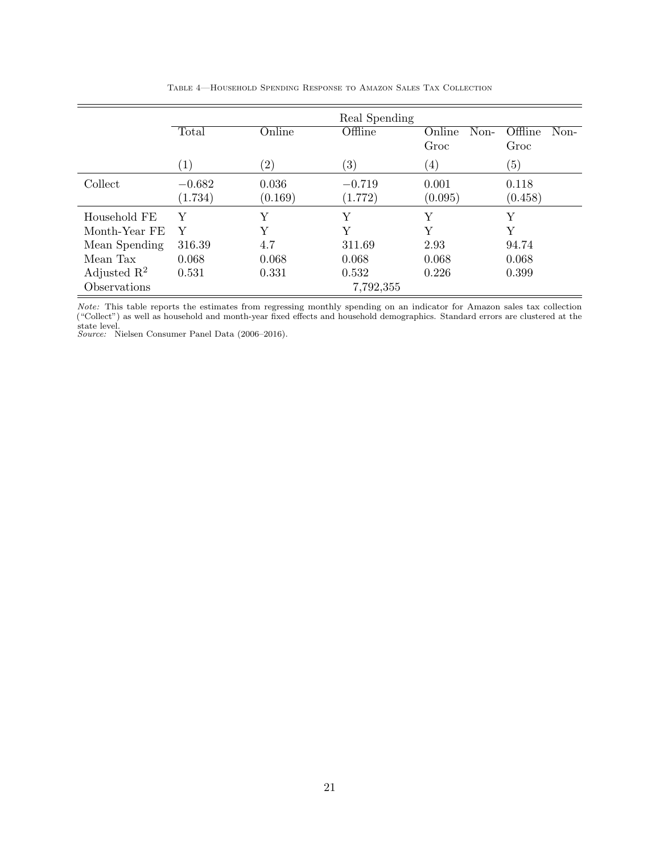|                         |                     |                   | Real Spending       |                        |                         |
|-------------------------|---------------------|-------------------|---------------------|------------------------|-------------------------|
|                         | Total               | Online            | Offline             | Online<br>Non-<br>Groc | Offline<br>Non-<br>Groc |
|                         | $\left( 1\right)$   | $\left( 2\right)$ | $\left( 3\right)$   | $\left( 4\right)$      | (5)                     |
| Collect                 | $-0.682$<br>(1.734) | 0.036<br>(0.169)  | $-0.719$<br>(1.772) | 0.001<br>(0.095)       | 0.118<br>(0.458)        |
| Household FE            | Y                   | Υ                 | Y                   | Υ                      | Y                       |
| Month-Year FE           | Y                   | Y                 | Y                   | Y                      | Υ                       |
| Mean Spending           | 316.39              | 4.7               | 311.69              | 2.93                   | 94.74                   |
| Mean Tax                | 0.068               | 0.068             | 0.068               | 0.068                  | 0.068                   |
| Adjusted $\mathbb{R}^2$ | 0.531               | 0.331             | 0.532               | 0.226                  | 0.399                   |
| Observations            |                     |                   | 7,792,355           |                        |                         |

Table 4—Household Spending Response to Amazon Sales Tax Collection

Note: This table reports the estimates from regressing monthly spending on an indicator for Amazon sales tax collection ("Collect") as well as household and month-year fixed effects and household demographics. Standard errors are clustered at the

state level. Source: Nielsen Consumer Panel Data (2006–2016).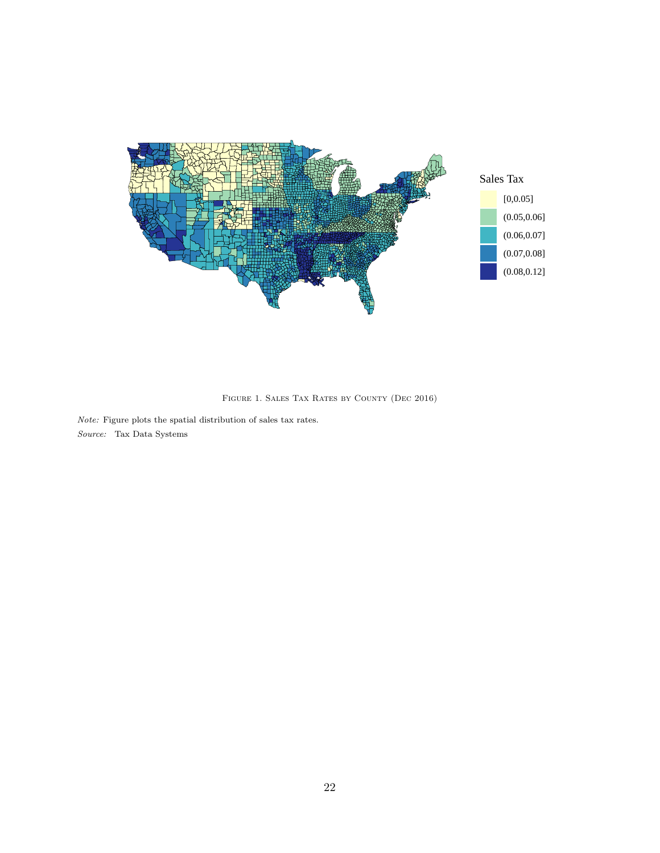

FIGURE 1. SALES TAX RATES BY COUNTY (DEC 2016)

 $\emph{Note:}$  Figure plots the spatial distribution of sales tax rates. Source: Tax Data Systems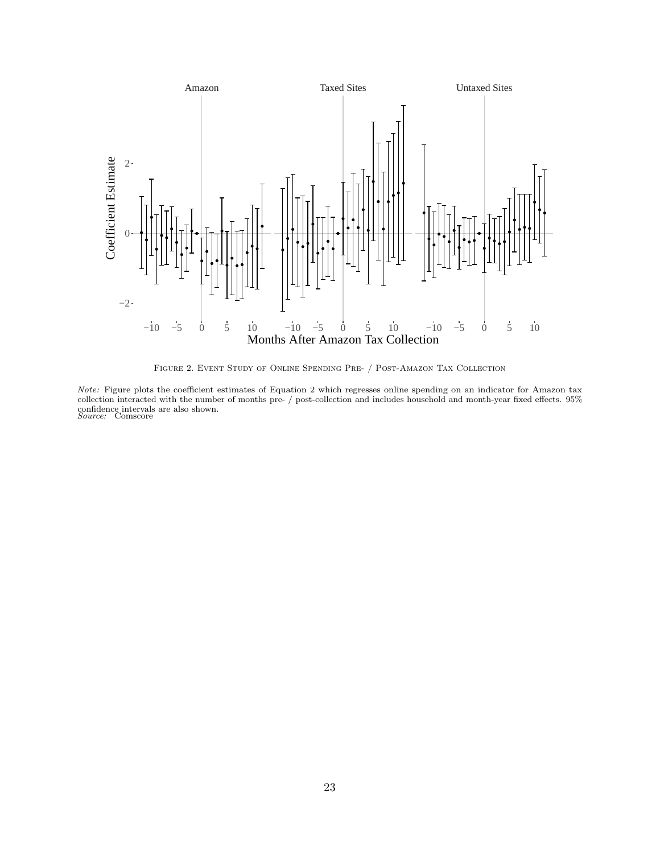

Figure 2. Event Study of Online Spending Pre- / Post-Amazon Tax Collection

Note: Figure plots the coefficient estimates of Equation 2 which regresses online spending on an indicator for Amazon tax collection interacted with the number of months pre- / post-collection and includes household and month-year fixed effects. 95% confidence intervals are also shown. Source: Comscore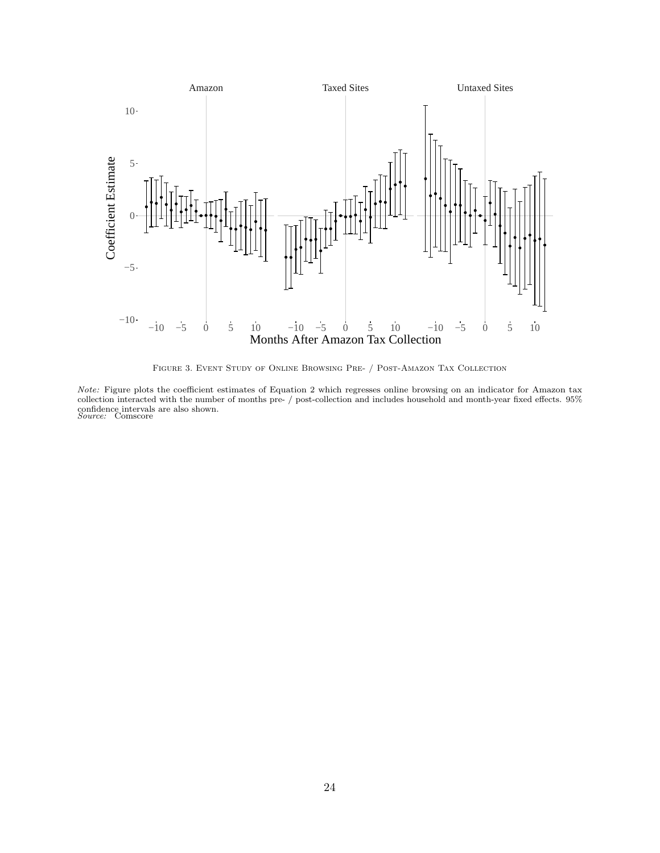

Figure 3. Event Study of Online Browsing Pre- / Post-Amazon Tax Collection

Note: Figure plots the coefficient estimates of Equation 2 which regresses online browsing on an indicator for Amazon tax collection interacted with the number of months pre- / post-collection and includes household and month-year fixed effects. 95% confidence intervals are also shown. Source: Comscore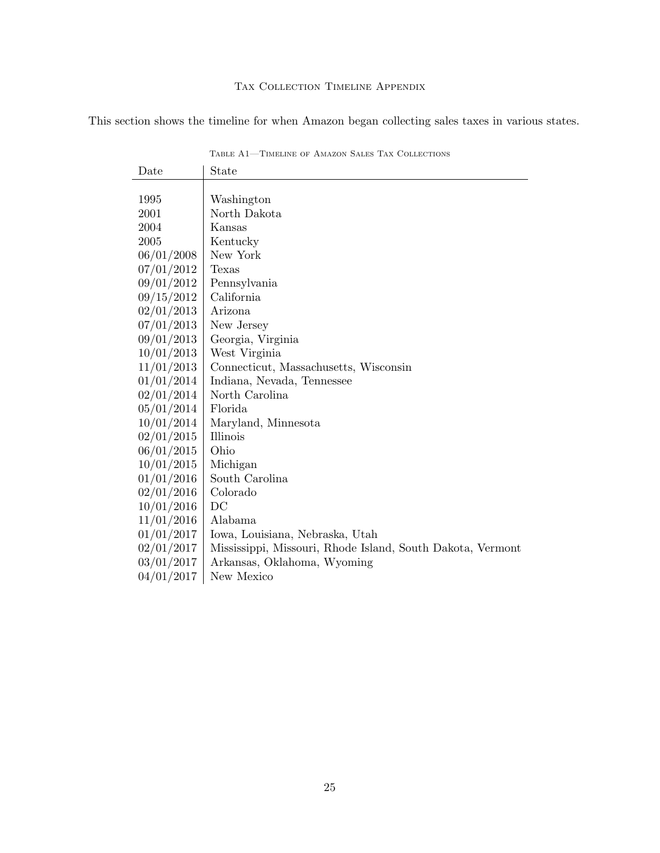This section shows the timeline for when Amazon began collecting sales taxes in various states.

| Date       | State                                                      |
|------------|------------------------------------------------------------|
|            |                                                            |
| 1995       | Washington                                                 |
| 2001       | North Dakota                                               |
| 2004       | Kansas                                                     |
| 2005       | Kentucky                                                   |
| 06/01/2008 | New York                                                   |
| 07/01/2012 | Texas                                                      |
| 09/01/2012 | Pennsylvania                                               |
| 09/15/2012 | California                                                 |
| 02/01/2013 | Arizona                                                    |
| 07/01/2013 | New Jersey                                                 |
| 09/01/2013 | Georgia, Virginia                                          |
| 10/01/2013 | West Virginia                                              |
| 11/01/2013 | Connecticut, Massachusetts, Wisconsin                      |
| 01/01/2014 | Indiana, Nevada, Tennessee                                 |
| 02/01/2014 | North Carolina                                             |
| 05/01/2014 | Florida                                                    |
| 10/01/2014 | Maryland, Minnesota                                        |
| 02/01/2015 | Illinois                                                   |
| 06/01/2015 | Ohio                                                       |
| 10/01/2015 | Michigan                                                   |
| 01/01/2016 | South Carolina                                             |
| 02/01/2016 | Colorado                                                   |
| 10/01/2016 | DC                                                         |
| 11/01/2016 | Alabama                                                    |
| 01/01/2017 | Iowa, Louisiana, Nebraska, Utah                            |
| 02/01/2017 | Mississippi, Missouri, Rhode Island, South Dakota, Vermont |
| 03/01/2017 | Arkansas, Oklahoma, Wyoming                                |
| 04/01/2017 | New Mexico                                                 |

Table A1—Timeline of Amazon Sales Tax Collections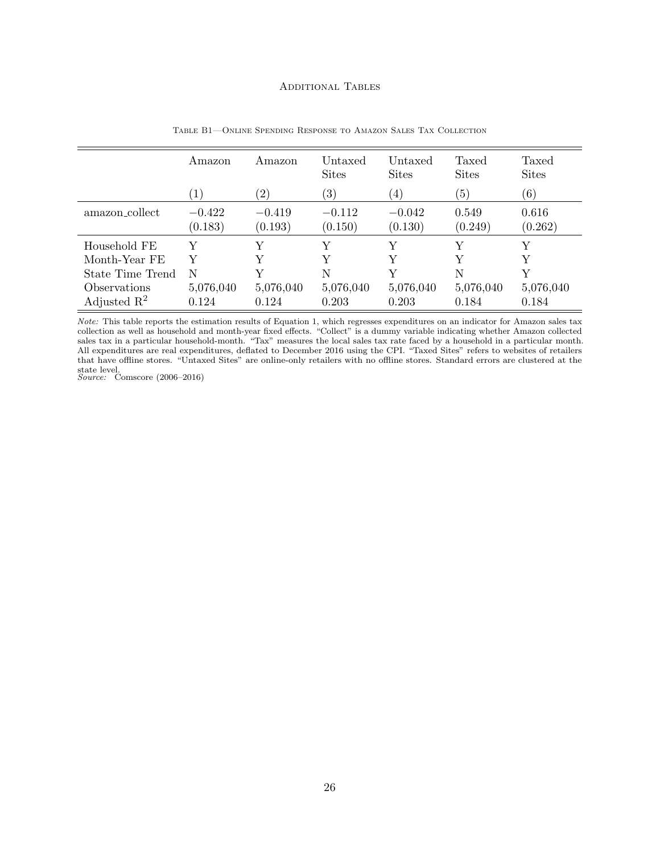## Additional Tables

|                  | Amazon              | Amazon              | Untaxed<br><b>Sites</b> | Untaxed<br><b>Sites</b> | Taxed<br><b>Sites</b> | Taxed<br><b>Sites</b> |
|------------------|---------------------|---------------------|-------------------------|-------------------------|-----------------------|-----------------------|
|                  | $\left(1\right)$    | $\left( 2\right)$   | $\left(3\right)$        | $\left(4\right)$        | (5)                   | (6)                   |
| amazon_collect   | $-0.422$<br>(0.183) | $-0.419$<br>(0.193) | $-0.112$<br>(0.150)     | $-0.042$<br>(0.130)     | 0.549<br>(0.249)      | 0.616<br>(0.262)      |
| Household FE     | Y                   | Y                   |                         | Y                       | Y                     | Y                     |
| Month-Year FE    | Y                   | Y                   |                         |                         | Y                     | Y                     |
| State Time Trend | N                   | V                   | N                       |                         | N                     | Y                     |
| Observations     | 5,076,040           | 5,076,040           | 5,076,040               | 5,076,040               | 5,076,040             | 5,076,040             |
| Adjusted $R^2$   | 0.124               | 0.124               | 0.203                   | 0.203                   | 0.184                 | 0.184                 |

Table B1—Online Spending Response to Amazon Sales Tax Collection

Note: This table reports the estimation results of Equation 1, which regresses expenditures on an indicator for Amazon sales tax collection as well as household and month-year fixed effects. "Collect" is a dummy variable indicating whether Amazon collected sales tax in a particular household-month. "Tax" measures the local sales tax rate faced by a household in a particular month. All expenditures are real expenditures, deflated to December 2016 using the CPI. "Taxed Sites" refers to websites of retailers that have offline stores. "Untaxed Sites" are online-only retailers with no offline stores. Standard errors are clustered at the state level.<br>Source: Comscore (2006–2016)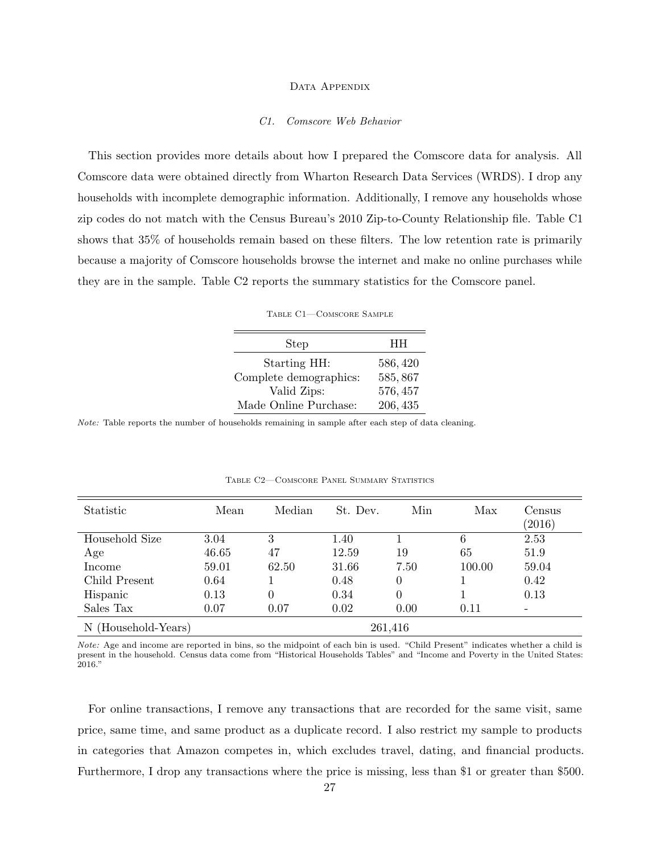#### DATA APPENDIX

## C1. Comscore Web Behavior

This section provides more details about how I prepared the Comscore data for analysis. All Comscore data were obtained directly from Wharton Research Data Services (WRDS). I drop any households with incomplete demographic information. Additionally, I remove any households whose zip codes do not match with the Census Bureau's 2010 Zip-to-County Relationship file. Table C1 shows that 35% of households remain based on these filters. The low retention rate is primarily because a majority of Comscore households browse the internet and make no online purchases while they are in the sample. Table C2 reports the summary statistics for the Comscore panel.

| <b>Step</b>            | HН       |
|------------------------|----------|
| Starting HH:           | 586, 420 |
| Complete demographics: | 585,867  |
| Valid Zips:            | 576, 457 |
| Made Online Purchase:  | 206, 435 |

Table C1—Comscore Sample

Note: Table reports the number of households remaining in sample after each step of data cleaning.

| Statistic         | Mean  | Median   | St. Dev. | Min            | Max    | Census<br>(2016) |
|-------------------|-------|----------|----------|----------------|--------|------------------|
| Household Size    | 3.04  | 3        | 1.40     |                | 6      | 2.53             |
| Age               | 46.65 | 47       | 12.59    | 19             | 65     | 51.9             |
| Income            | 59.01 | 62.50    | 31.66    | 7.50           | 100.00 | 59.04            |
| Child Present     | 0.64  |          | 0.48     | $\overline{0}$ |        | 0.42             |
| Hispanic          | 0.13  | $\theta$ | 0.34     | $\Omega$       |        | 0.13             |
| Sales Tax         | 0.07  | 0.07     | 0.02     | 0.00           | 0.11   |                  |
| (Household-Years) |       |          |          | 261,416        |        |                  |

Table C2—Comscore Panel Summary Statistics

Note: Age and income are reported in bins, so the midpoint of each bin is used. "Child Present" indicates whether a child is present in the household. Census data come from "Historical Households Tables" and "Income and Poverty in the United States: 2016."

For online transactions, I remove any transactions that are recorded for the same visit, same price, same time, and same product as a duplicate record. I also restrict my sample to products in categories that Amazon competes in, which excludes travel, dating, and financial products. Furthermore, I drop any transactions where the price is missing, less than \$1 or greater than \$500.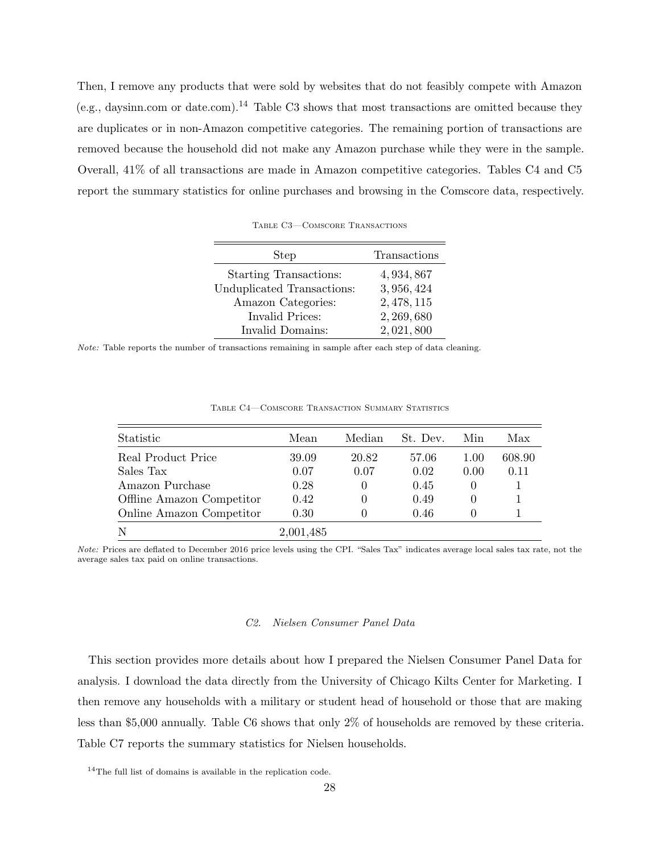Then, I remove any products that were sold by websites that do not feasibly compete with Amazon (e.g., daysinn.com or date.com).<sup>14</sup> Table C3 shows that most transactions are omitted because they are duplicates or in non-Amazon competitive categories. The remaining portion of transactions are removed because the household did not make any Amazon purchase while they were in the sample. Overall, 41% of all transactions are made in Amazon competitive categories. Tables C4 and C5 report the summary statistics for online purchases and browsing in the Comscore data, respectively.

Table C3—Comscore Transactions

| <b>Step</b>                   | Transactions |
|-------------------------------|--------------|
| <b>Starting Transactions:</b> | 4, 934, 867  |
| Unduplicated Transactions:    | 3,956,424    |
| Amazon Categories:            | 2, 478, 115  |
| Invalid Prices:               | 2, 269, 680  |
| Invalid Domains:              | 2,021,800    |

Note: Table reports the number of transactions remaining in sample after each step of data cleaning.

| Statistic                 | Mean      | Median       | St. Dev. | Min              | Max    |
|---------------------------|-----------|--------------|----------|------------------|--------|
| Real Product Price        | 39.09     | 20.82        | 57.06    | 1.00             | 608.90 |
| Sales Tax                 | 0.07      | 0.07         | 0.02     | 0.00             | 0.11   |
| Amazon Purchase           | 0.28      | $\mathbf{0}$ | 0.45     | $\left( \right)$ |        |
| Offline Amazon Competitor | 0.42      |              | 0.49     |                  |        |
| Online Amazon Competitor  | 0.30      |              | 0.46     |                  |        |
| N                         | 2,001,485 |              |          |                  |        |

Table C4—Comscore Transaction Summary Statistics

Note: Prices are deflated to December 2016 price levels using the CPI. "Sales Tax" indicates average local sales tax rate, not the average sales tax paid on online transactions.

## C2. Nielsen Consumer Panel Data

This section provides more details about how I prepared the Nielsen Consumer Panel Data for analysis. I download the data directly from the University of Chicago Kilts Center for Marketing. I then remove any households with a military or student head of household or those that are making less than \$5,000 annually. Table C6 shows that only 2% of households are removed by these criteria. Table C7 reports the summary statistics for Nielsen households.

<sup>14</sup>The full list of domains is available in the replication code.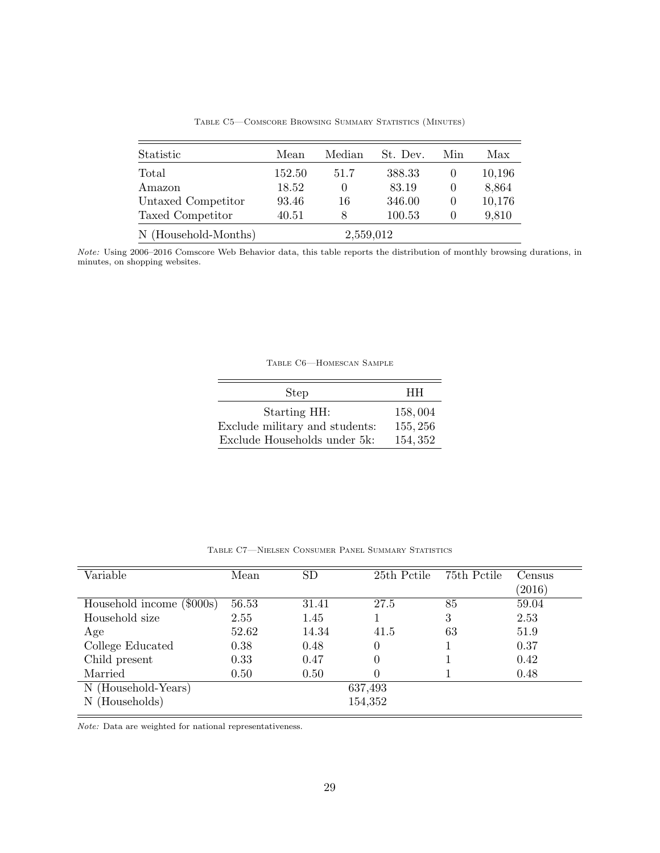| Statistic            | Mean      | Median   | St. Dev. | Min      | Max    |
|----------------------|-----------|----------|----------|----------|--------|
| Total                | 152.50    | 51.7     | 388.33   | O        | 10,196 |
| Amazon               | 18.52     | $\theta$ | 83.19    | $\theta$ | 8,864  |
| Untaxed Competitor   | 93.46     | 16       | 346.00   | $\theta$ | 10,176 |
| Taxed Competitor     | 40.51     | 8        | 100.53   | $\theta$ | 9,810  |
| N (Household-Months) | 2,559,012 |          |          |          |        |

Table C5—Comscore Browsing Summary Statistics (Minutes)

Note: Using 2006–2016 Comscore Web Behavior data, this table reports the distribution of monthly browsing durations, in minutes, on shopping websites.

Table C6—Homescan Sample

| <b>Step</b>                    | HН       |
|--------------------------------|----------|
| Starting HH:                   | 158,004  |
| Exclude military and students: | 155, 256 |
| Exclude Households under 5k:   | 154, 352 |

Table C7—Nielsen Consumer Panel Summary Statistics

| Variable                       | Mean    | <b>SD</b> | 25th Pctile | 75th Pctile | Census |
|--------------------------------|---------|-----------|-------------|-------------|--------|
|                                |         |           |             |             | (2016) |
| $(\$000s)$<br>Household income | 56.53   | 31.41     | 27.5        | 85          | 59.04  |
| Household size                 | 2.55    | 1.45      |             | 3           | 2.53   |
| Age                            | 52.62   | 14.34     | 41.5        | 63          | 51.9   |
| College Educated               | 0.38    | 0.48      | 0           |             | 0.37   |
| Child present                  | 0.33    | 0.47      | $\theta$    |             | 0.42   |
| Married                        | 0.50    | 0.50      | 0           |             | 0.48   |
| (Household-Years)<br>Ν         | 637,493 |           |             |             |        |
| (Households)<br>N              | 154,352 |           |             |             |        |

Note: Data are weighted for national representativeness.